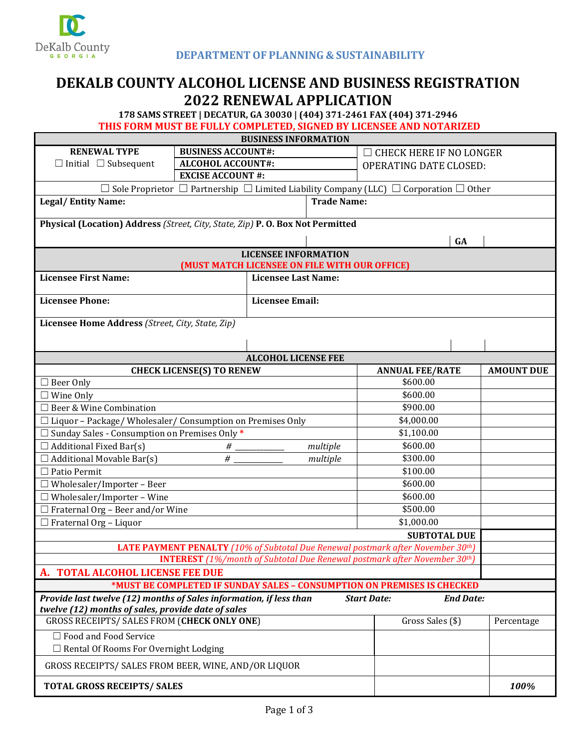

## **DEKALB COUNTY ALCOHOL LICENSE AND BUSINESS REGISTRATION 2022 RENEWAL APPLICATION**

**178 SAMS STREET | DECATUR, GA 30030 | (404) 371-2461 FAX (404) 371-2946** 

**THIS FORM MUST BE FULLY COMPLETED, SIGNED BY LICENSEE AND NOTARIZED**

|                                                                                                                                                                    |                                                   | <b>BUSINESS INFORMATION</b>                                                  |                                |                      |  |  |
|--------------------------------------------------------------------------------------------------------------------------------------------------------------------|---------------------------------------------------|------------------------------------------------------------------------------|--------------------------------|----------------------|--|--|
| <b>RENEWAL TYPE</b>                                                                                                                                                | <b>BUSINESS ACCOUNT#:</b>                         |                                                                              | <b>CHECK HERE IF NO LONGER</b> |                      |  |  |
| $\Box$ Initial $\Box$ Subsequent                                                                                                                                   | <b>ALCOHOL ACCOUNT#:</b>                          |                                                                              | <b>OPERATING DATE CLOSED:</b>  |                      |  |  |
|                                                                                                                                                                    | <b>EXCISE ACCOUNT #:</b>                          |                                                                              |                                |                      |  |  |
| $\Box$ Sole Proprietor $\Box$ Partnership $\Box$ Limited Liability Company (LLC) $\Box$ Corporation $\Box$ Other                                                   |                                                   |                                                                              |                                |                      |  |  |
| <b>Legal/Entity Name:</b>                                                                                                                                          |                                                   | <b>Trade Name:</b>                                                           |                                |                      |  |  |
| Physical (Location) Address (Street, City, State, Zip) P. O. Box Not Permitted                                                                                     |                                                   |                                                                              |                                |                      |  |  |
|                                                                                                                                                                    | GA                                                |                                                                              |                                |                      |  |  |
|                                                                                                                                                                    |                                                   |                                                                              |                                |                      |  |  |
|                                                                                                                                                                    |                                                   | <b>LICENSEE INFORMATION</b><br>(MUST MATCH LICENSEE ON FILE WITH OUR OFFICE) |                                |                      |  |  |
| <b>Licensee First Name:</b><br><b>Licensee Last Name:</b>                                                                                                          |                                                   |                                                                              |                                |                      |  |  |
| <b>Licensee Phone:</b>                                                                                                                                             | <b>Licensee Email:</b>                            |                                                                              |                                |                      |  |  |
| Licensee Home Address (Street, City, State, Zip)                                                                                                                   |                                                   |                                                                              |                                |                      |  |  |
|                                                                                                                                                                    |                                                   |                                                                              |                                |                      |  |  |
|                                                                                                                                                                    |                                                   | <b>ALCOHOL LICENSE FEE</b>                                                   |                                |                      |  |  |
|                                                                                                                                                                    | <b>CHECK LICENSE(S) TO RENEW</b>                  |                                                                              | <b>ANNUAL FEE/RATE</b>         | <b>AMOUNT DUE</b>    |  |  |
| $\Box$ Beer Only                                                                                                                                                   |                                                   |                                                                              | \$600.00                       |                      |  |  |
| $\Box$ Wine Only                                                                                                                                                   |                                                   |                                                                              | \$600.00                       |                      |  |  |
| □ Beer & Wine Combination                                                                                                                                          |                                                   |                                                                              | \$900.00                       |                      |  |  |
| $\Box$ Liquor - Package/Wholesaler/Consumption on Premises Only                                                                                                    | \$4,000.00                                        |                                                                              |                                |                      |  |  |
| $\Box$ Sunday Sales - Consumption on Premises Only *                                                                                                               |                                                   | \$1,100.00                                                                   |                                |                      |  |  |
|                                                                                                                                                                    | $\Box$ Additional Fixed Bar(s)<br>multiple<br>#   |                                                                              |                                | \$600.00<br>\$300.00 |  |  |
|                                                                                                                                                                    | #<br>$\Box$ Additional Movable Bar(s)<br>multiple |                                                                              |                                |                      |  |  |
| $\Box$ Patio Permit                                                                                                                                                |                                                   |                                                                              |                                | \$100.00             |  |  |
| $\Box$ Wholesaler/Importer - Beer                                                                                                                                  |                                                   | \$600.00                                                                     |                                |                      |  |  |
| $\Box$ Wholesaler/Importer - Wine                                                                                                                                  |                                                   |                                                                              |                                | \$600.00             |  |  |
| $\Box$ Fraternal Org - Beer and/or Wine                                                                                                                            |                                                   |                                                                              |                                | \$500.00             |  |  |
| $\Box$ Fraternal Org - Liquor                                                                                                                                      |                                                   |                                                                              | \$1,000.00                     |                      |  |  |
| <b>SUBTOTAL DUE</b>                                                                                                                                                |                                                   |                                                                              |                                |                      |  |  |
| LATE PAYMENT PENALTY (10% of Subtotal Due Renewal postmark after November 30th)                                                                                    |                                                   |                                                                              |                                |                      |  |  |
| <b>INTEREST</b> (1%/month of Subtotal Due Renewal postmark after November 30 <sup>th</sup> )                                                                       |                                                   |                                                                              |                                |                      |  |  |
| A. TOTAL ALCOHOL LICENSE FEE DUE<br>*MUST BE COMPLETED IF SUNDAY SALES - CONSUMPTION ON PREMISES IS CHECKED                                                        |                                                   |                                                                              |                                |                      |  |  |
|                                                                                                                                                                    |                                                   |                                                                              |                                |                      |  |  |
| Provide last twelve (12) months of Sales information, if less than<br><b>Start Date:</b><br><b>End Date:</b><br>twelve (12) months of sales, provide date of sales |                                                   |                                                                              |                                |                      |  |  |
| <b>GROSS RECEIPTS/ SALES FROM (CHECK ONLY ONE)</b>                                                                                                                 | Gross Sales (\$)                                  | Percentage                                                                   |                                |                      |  |  |
| $\Box$ Food and Food Service<br>□ Rental Of Rooms For Overnight Lodging                                                                                            |                                                   |                                                                              |                                |                      |  |  |
| GROSS RECEIPTS/ SALES FROM BEER, WINE, AND/OR LIQUOR                                                                                                               |                                                   |                                                                              |                                |                      |  |  |
| <b>TOTAL GROSS RECEIPTS/ SALES</b>                                                                                                                                 |                                                   |                                                                              |                                | 100%                 |  |  |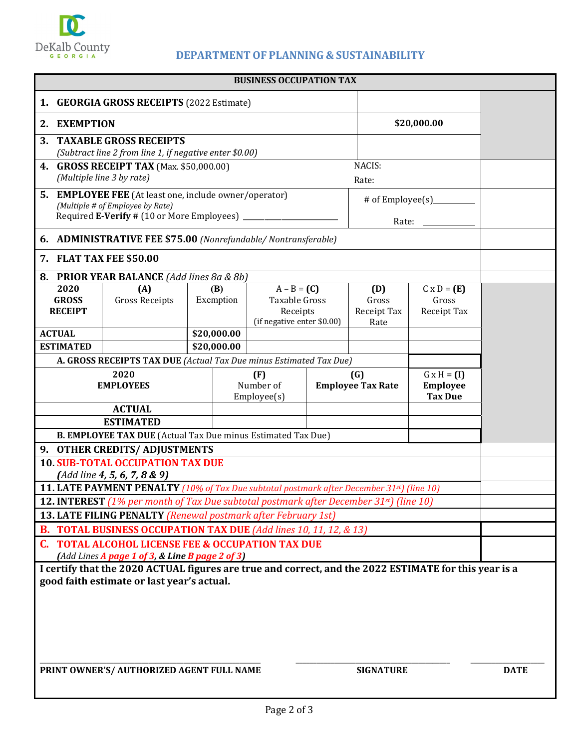

H

## **DEPARTMENTOF PLANNING & SUSTAINABILITY**

| <b>BUSINESS OCCUPATION TAX</b>                                                                                                              |                                                                                                               |                                 |                                 |                                                                          |                                                         |                                            |  |  |
|---------------------------------------------------------------------------------------------------------------------------------------------|---------------------------------------------------------------------------------------------------------------|---------------------------------|---------------------------------|--------------------------------------------------------------------------|---------------------------------------------------------|--------------------------------------------|--|--|
| <b>GEORGIA GROSS RECEIPTS (2022 Estimate)</b><br>1.                                                                                         |                                                                                                               |                                 |                                 |                                                                          |                                                         |                                            |  |  |
| 2. EXEMPTION                                                                                                                                |                                                                                                               |                                 |                                 |                                                                          |                                                         | \$20,000.00                                |  |  |
|                                                                                                                                             | 3. TAXABLE GROSS RECEIPTS                                                                                     |                                 |                                 |                                                                          |                                                         |                                            |  |  |
|                                                                                                                                             | (Subtract line 2 from line 1, if negative enter \$0.00)                                                       |                                 |                                 |                                                                          |                                                         |                                            |  |  |
| NACIS:<br>4. GROSS RECEIPT TAX (Max. \$50,000.00)<br>(Multiple line 3 by rate)<br>Rate:                                                     |                                                                                                               |                                 |                                 |                                                                          |                                                         |                                            |  |  |
| <b>5. EMPLOYEE FEE</b> (At least one, include owner/operator)                                                                               |                                                                                                               |                                 |                                 |                                                                          |                                                         |                                            |  |  |
|                                                                                                                                             | (Multiple # of Employee by Rate)<br>Required E-Verify # (10 or More Employees) ___________                    |                                 |                                 |                                                                          |                                                         |                                            |  |  |
| Rate: $\frac{1}{\sqrt{1-\frac{1}{2}}\cdot\frac{1}{\sqrt{1-\frac{1}{2}}}}$<br>6. ADMINISTRATIVE FEE \$75.00 (Nonrefundable/ Nontransferable) |                                                                                                               |                                 |                                 |                                                                          |                                                         |                                            |  |  |
| 7. FLAT TAX FEE \$50.00                                                                                                                     |                                                                                                               |                                 |                                 |                                                                          |                                                         |                                            |  |  |
|                                                                                                                                             | 8. PRIOR YEAR BALANCE (Add lines 8a & 8b)                                                                     |                                 |                                 |                                                                          |                                                         |                                            |  |  |
| 2020<br><b>GROSS</b><br><b>RECEIPT</b>                                                                                                      | (A)<br><b>Gross Receipts</b>                                                                                  | (B)<br>Exemption                |                                 | $A - B = (C)$<br>Taxable Gross<br>Receipts<br>(if negative enter \$0.00) | (D)<br>Gross<br>Receipt Tax<br>Rate                     | $C \times D = (E)$<br>Gross<br>Receipt Tax |  |  |
| <b>ACTUAL</b>                                                                                                                               |                                                                                                               | \$20,000.00                     |                                 |                                                                          |                                                         |                                            |  |  |
| <b>ESTIMATED</b>                                                                                                                            |                                                                                                               | \$20,000.00                     |                                 |                                                                          |                                                         |                                            |  |  |
|                                                                                                                                             | A. GROSS RECEIPTS TAX DUE (Actual Tax Due minus Estimated Tax Due)                                            |                                 |                                 |                                                                          |                                                         |                                            |  |  |
| 2020<br><b>EMPLOYEES</b>                                                                                                                    |                                                                                                               | (F)<br>Number of<br>Employee(s) | (G)<br><b>Employee Tax Rate</b> |                                                                          | $G \times H = (I)$<br><b>Employee</b><br><b>Tax Due</b> |                                            |  |  |
| <b>ACTUAL</b>                                                                                                                               |                                                                                                               |                                 |                                 |                                                                          |                                                         |                                            |  |  |
| <b>ESTIMATED</b>                                                                                                                            |                                                                                                               |                                 |                                 |                                                                          |                                                         |                                            |  |  |
| B. EMPLOYEE TAX DUE (Actual Tax Due minus Estimated Tax Due)                                                                                |                                                                                                               |                                 |                                 |                                                                          |                                                         |                                            |  |  |
| 9. OTHER CREDITS/ADJUSTMENTS<br><b>10. SUB-TOTAL OCCUPATION TAX DUE</b>                                                                     |                                                                                                               |                                 |                                 |                                                                          |                                                         |                                            |  |  |
| (Add line 4, 5, 6, 7, 8 & 9)                                                                                                                |                                                                                                               |                                 |                                 |                                                                          |                                                         |                                            |  |  |
|                                                                                                                                             | <b>11. LATE PAYMENT PENALTY</b> (10% of Tax Due subtotal postmark after December 31 <sup>st</sup> ) (line 10) |                                 |                                 |                                                                          |                                                         |                                            |  |  |
| <b>12. INTEREST</b> (1% per month of Tax Due subtotal postmark after December 31st) (line 10)                                               |                                                                                                               |                                 |                                 |                                                                          |                                                         |                                            |  |  |
| 13. LATE FILING PENALTY (Renewal postmark after February 1st)                                                                               |                                                                                                               |                                 |                                 |                                                                          |                                                         |                                            |  |  |
| <b>B. TOTAL BUSINESS OCCUPATION TAX DUE</b> (Add lines 10, 11, 12, & 13)                                                                    |                                                                                                               |                                 |                                 |                                                                          |                                                         |                                            |  |  |
| <b>C. TOTAL ALCOHOL LICENSE FEE &amp; OCCUPATION TAX DUE</b><br>(Add Lines A page 1 of 3, & Line B page 2 of 3)                             |                                                                                                               |                                 |                                 |                                                                          |                                                         |                                            |  |  |
| I certify that the 2020 ACTUAL figures are true and correct, and the 2022 ESTIMATE for this year is a                                       |                                                                                                               |                                 |                                 |                                                                          |                                                         |                                            |  |  |
| good faith estimate or last year's actual.                                                                                                  |                                                                                                               |                                 |                                 |                                                                          |                                                         |                                            |  |  |
| PRINT OWNER'S/ AUTHORIZED AGENT FULL NAME<br><b>SIGNATURE</b>                                                                               |                                                                                                               |                                 |                                 |                                                                          |                                                         | <b>DATE</b>                                |  |  |